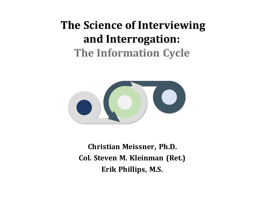#### The Science of Interviewing and Interrogation: **The Information Cycle**



**Christian Meissner, Ph.D. Col. Steven M. Kleinman (Ret.)** Erik Phillips, M.S.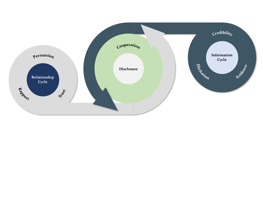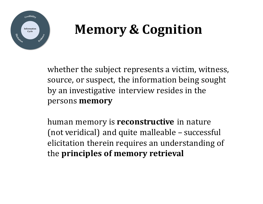

### **Memory & Cognition**

whether the subject represents a victim, witness, source, or suspect, the information being sought by an investigative interview resides in the persons **memory**

human memory is **reconstructive** in nature (not veridical) and quite malleable – successful elicitation therein requires an understanding of the **principles of memory retrieval**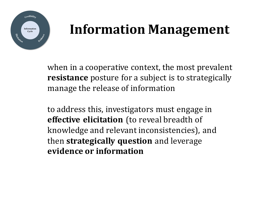

### **Information Management**

when in a cooperative context, the most prevalent **resistance** posture for a subject is to strategically manage the release of information

to address this, investigators must engage in **effective elicitation** (to reveal breadth of knowledge and relevant inconsistencies), and then **strategically question** and leverage **evidence or information**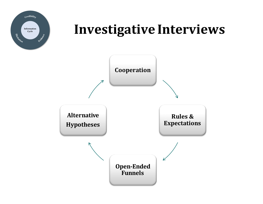

# **Cycle Investigative Interviews**

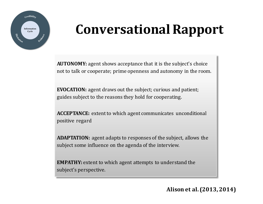

# **Conversational Rapport**

**AUTONOMY:** agent shows acceptance that it is the subject's choice not to talk or cooperate; prime openness and autonomy in the room.

**EVOCATION:** agent draws out the subject; curious and patient; guides subject to the reasons they hold for cooperating.

**ACCEPTANCE:** extent to which agent communicates unconditional positive regard

**ADAPTATION:** agent adapts to responses of the subject, allows the subject some influence on the agenda of the interview.

**EMPATHY:** extent to which agent attempts to understand the subject's perspective.

**Alison et al. (2013, 2014)**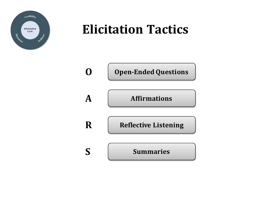

# **Elicitation Tactics**

|             | <b>Open-Ended Questions</b> |
|-------------|-----------------------------|
| $\mathbf A$ | <b>Affirmations</b>         |
| R           | <b>Reflective Listening</b> |
| $\mathbf S$ | <b>Summaries</b>            |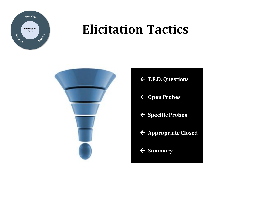

# **Cycle Elicitation Tactics**



- ß **T.E.D. Questions**
- ← Open Probes
- ß **Specific Probes**
- **← Appropriate Closed**
- ß **Summary**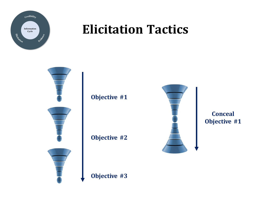

#### **Elicitation Tactics**

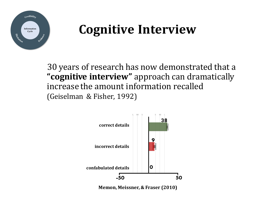

#### **Cognitive Interview**

30 years of research has now demonstrated that a "cognitive interview" approach can dramatically increase the amount information recalled (Geiselman & Fisher, 1992)



**Memon, Meissner, & Fraser (2010)**